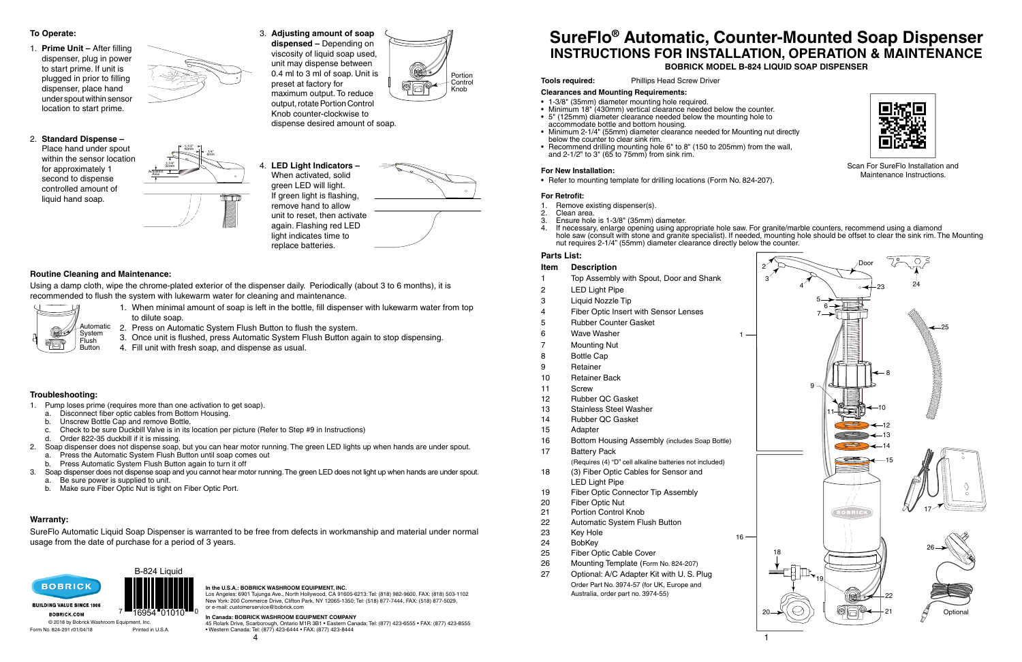





1



## **SureFlo® Automatic, Counter-Mounted Soap Dispenser INSTRUCTIONS FOR INSTALLATION, OPERATION & MAINTENANCE BOBRICK MODEL B-824 LIQUID SOAP DISPENSER**

#### **Tools required:** Phillips Head Screw Driver

#### **Parts List:**

#### **Item Description**

- 18 (3) Fiber Optic Cables for Sensor and LED Light Pipe
- 19 Fiber Optic Connector Tip Assembly
- 20 Fiber Optic Nut
- 21 Portion Control Knob
- 22 Automatic System Flush Button
- 23 Key Hole
- 24 BobKey
- 25 Fiber Optic Cable Cover
- 26 Mounting Template (Form No. 824-207)
- 27 Optional: A/C Adapter Kit with U. S. Plug Order Part No. 3974-57 (for UK, Europe and Australia, order part no. 3974-55)
- 16





- 1 Top Assembly with Spout, Door and Shank
- 2 LED Light Pipe
- 3 Liquid Nozzle Tip
- 4 Fiber Optic Insert with Sensor Lenses
- 5 Rubber Counter Gasket

6 Wave Washer

- 7 Mounting Nut
- 8 Bottle Cap
- **Clearances and Mounting Requirements:**
- 1-3/8" (35mm) diameter mounting hole required.
- Minimum 18" (430mm) vertical clearance needed below the counter.
- 5" (125mm) diameter clearance needed below the mounting hole to accommodate bottle and bottom housing.
- Minimum 2-1/4" (55mm) diameter clearance needed for Mounting nut directly below the counter to clear sink rim.
- Recommend drilling mounting hole 6" to 8" (150 to 205mm) from the wall, and  $2-1/2$ " to  $3$ " ( $65$  to  $75$ mm) from sink rim.

- 9 Retainer
- 10 Retainer Back
- 11 Screw
- 12 Rubber QC Gasket
- 13 Stainless Steel Washer
- 14 Rubber QC Gasket
- 15 Adapter
- 16 Bottom Housing Assembly (includes Soap Bottle)
- 17 Battery Pack

(Requires (4) "D" cell alkaline batteries not included)

Using a damp cloth, wipe the chrome-plated exterior of the dispenser daily. Periodically (about 3 to 6 months), it is recommended to flush the system with lukewarm water for cleaning and maintenance.

- 1. When minimal amount of soap is left in the bottle, fill dispenser with lukewarm water from top to dilute soap.
- 2. Press on Automatic System Flush Button to flush the system.
- 3. Once unit is flushed, press Automatic System Flush Button again to stop dispensing.
- 4. Fill unit with fresh soap, and dispense as usual.

© 2018 by Bobrick Washroom Equipment, Inc. Form No. 824-291 r01/04/18 Printed in U.S.A. If necessary, enlarge opening using appropriate hole saw. For granite/marble counters, recommend using a diamond hole saw (consult with stone and granite specialist). If needed, mounting hole should be offset to clear the sink rim. The Mounting

- 1. Remove existing dispenser(s).<br>2. Clean area.
- 2. Clean area.<br>3. Ensure hole
- 3. Ensure hole is 1-3/8" (35mm) diameter.
- nut requires 2-1/4" (55mm) diameter clearance directly below the counter.

#### **Routine Cleaning and Maintenance:**

1. **Prime Unit – After filling**  dispenser, plug in power to start prime. If unit is plugged in prior to filling dispenser, place hand under spout within sensor location to start prime.

> Place hand under spout within the sensor location for approximately 1 second to dispense controlled amount of liquid hand soap.

#### **To Operate:**

#### **Troubleshooting:**

- 1. Pump loses prime (requires more than one activation to get soap).
	- a. Disconnect fiber optic cables from Bottom Housing.
	- b. Unscrew Bottle Cap and remove Bottle.
	- c. Check to be sure Duckbill Valve is in its location per picture (Refer to Step #9 in Instructions)
	- d. Order 822-35 duckbill if it is missing.
- 2. Soap dispenser does not dispense soap, but you can hear motor running. The green LED lights up when hands are under spout.
	- a. Press the Automatic System Flush Button until soap comes out
	- b. Press Automatic System Flush Button again to turn it off
- 3. Soap dispenser does not dispense soap and you cannot hear motor running. The green LED does not light up when hands are under spout. Be sure power is supplied to unit.
	- b. Make sure Fiber Optic Nut is tight on Fiber Optic Port.

#### **Warranty:**

SureFlo Automatic Liquid Soap Dispenser is warranted to be free from defects in workmanship and material under normal usage from the date of purchase for a period of 3 years.

#### **For New Installation:**

• Refer to mounting template for drilling locations (Form No. 824-207).

#### **For Retrofit:**

#### 2. **Standard Dispense –**

3. **Adjusting amount of soap dispensed –** Depending on viscosity of liquid soap used, unit may dispense between 0.4 ml to 3 ml of soap. Unit is preset at factory for maximum output. To reduce output, rotate Portion Control Knob counter-clockwise to dispense desired amount of soap.

4. **LED Light Indicators –** When activated, solid green LED will light. If green light is flashing, remove hand to allow unit to reset, then activate

 again. Flashing red LED light indicates time to replace batteries.



**In the U.S.A.: BOBRICK WASHROOM EQUIPMENT, INC.**

Los Angeles: 6901 Tujunga Ave., North Hollywood, CA 91605-6213: Tel: (818) 982-9600, FAX: (818) 503-1102 New York: 200 Commerce Drive, Clifton Park, NY 12065-1350; Tel: (518) 877-7444, FAX: (518) 877-5029, or e-mail: customerservice@bobrick.com

**In Canada: BOBRICK WASHROOM EQUIPMENT COMPANY**

45 Rolark Drive, Scarborough, Ontario M1R 3B1 • Eastern Canada: Tel: (877) 423-6555 • FAX: (877) 423-8555 • Western Canada: Tel: (877) 423-6444 • FAX: (877) 423-8444

Scan For SureFlo Installation and Maintenance Instructions.



7 **""**16954"01010"" <sup>0</sup>